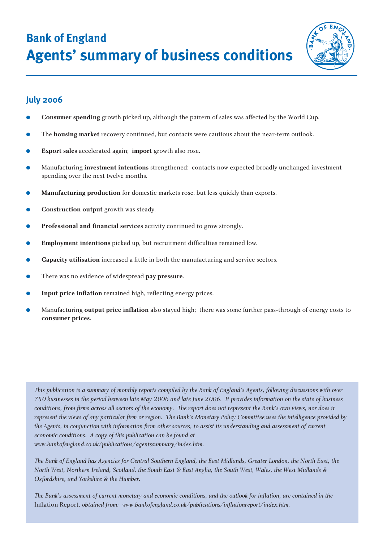**Bank of England Agents' summary of business conditions**



# **July 2006**

- **Consumer spending** growth picked up, although the pattern of sales was affected by the World Cup.
- The **housing market** recovery continued, but contacts were cautious about the near-term outlook.
- **Export sales** accelerated again; **import** growth also rose.
- Manufacturing **investment intentions** strengthened: contacts now expected broadly unchanged investment spending over the next twelve months.
- Manufacturing production for domestic markets rose, but less quickly than exports.
- **• Construction output** growth was steady.
- **Professional and financial services** activity continued to grow strongly.
- **Employment intentions** picked up, but recruitment difficulties remained low.
- **Capacity utilisation** increased a little in both the manufacturing and service sectors.
- There was no evidence of widespread pay pressure.
- Input price inflation remained high, reflecting energy prices.
- Manufacturing **output price inflation** also stayed high; there was some further pass-through of energy costs to **consumer prices**.

*This publication is a summary of monthly reports compiled by the Bank of England's Agents, following discussions with over 750 businesses in the period between late May 2006 and late June 2006. It provides information on the state of business conditions, from firms across all sectors of the economy. The report does not represent the Bank's own views, nor does it represent the views of any particular firm or region. The Bank's Monetary Policy Committee uses the intelligence provided by the Agents, in conjunction with information from other sources, to assist its understanding and assessment of current economic conditions. A copy of this publication can be found at www.bankofengland.co.uk/publications/agentssummary/index.htm.*

*The Bank of England has Agencies for Central Southern England, the East Midlands, Greater London, the North East, the North West, Northern Ireland, Scotland, the South East & East Anglia, the South West, Wales, the West Midlands & Oxfordshire, and Yorkshire & the Humber.*

*The Bank's assessment of current monetary and economic conditions, and the outlook for inflation, are contained in the* Inflation Report*, obtained from: www.bankofengland.co.uk/publications/inflationreport/index.htm.*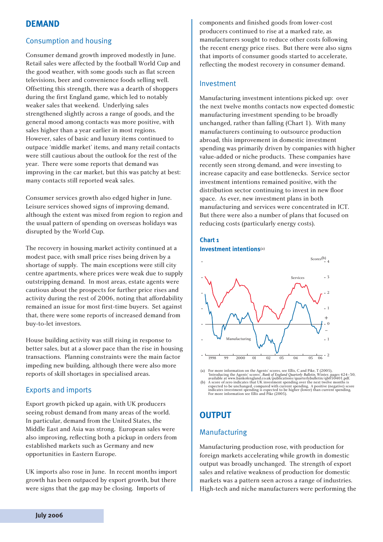# **DEMAND**

# Consumption and housing

Consumer demand growth improved modestly in June. Retail sales were affected by the football World Cup and the good weather, with some goods such as flat screen televisions, beer and convenience foods selling well. Offsetting this strength, there was a dearth of shoppers during the first England game, which led to notably weaker sales that weekend. Underlying sales strengthened slightly across a range of goods, and the general mood among contacts was more positive, with sales higher than a year earlier in most regions. However, sales of basic and luxury items continued to outpace 'middle market' items, and many retail contacts were still cautious about the outlook for the rest of the year. There were some reports that demand was improving in the car market, but this was patchy at best: many contacts still reported weak sales.

Consumer services growth also edged higher in June. Leisure services showed signs of improving demand, although the extent was mixed from region to region and the usual pattern of spending on overseas holidays was disrupted by the World Cup.

The recovery in housing market activity continued at a modest pace, with small price rises being driven by a shortage of supply. The main exceptions were still city centre apartments, where prices were weak due to supply outstripping demand. In most areas, estate agents were cautious about the prospects for further price rises and activity during the rest of 2006, noting that affordability remained an issue for most first-time buyers. Set against that, there were some reports of increased demand from buy-to-let investors.

House building activity was still rising in response to better sales, but at a slower pace than the rise in housing transactions. Planning constraints were the main factor impeding new building, although there were also more reports of skill shortages in specialised areas.

#### Exports and imports

Export growth picked up again, with UK producers seeing robust demand from many areas of the world. In particular, demand from the United States, the Middle East and Asia was strong. European sales were also improving, reflecting both a pickup in orders from established markets such as Germany and new opportunities in Eastern Europe.

UK imports also rose in June. In recent months import growth has been outpaced by export growth, but there were signs that the gap may be closing. Imports of

components and finished goods from lower-cost producers continued to rise at a marked rate, as manufacturers sought to reduce other costs following the recent energy price rises. But there were also signs that imports of consumer goods started to accelerate, reflecting the modest recovery in consumer demand.

#### Investment

Manufacturing investment intentions picked up: over the next twelve months contacts now expected domestic manufacturing investment spending to be broadly unchanged, rather than falling (Chart 1). With many manufacturers continuing to outsource production abroad, this improvement in domestic investment spending was primarily driven by companies with higher value-added or niche products. These companies have recently seen strong demand, and were investing to increase capacity and ease bottlenecks. Service sector investment intentions remained positive, with the distribution sector continuing to invest in new floor space. As ever, new investment plans in both manufacturing and services were concentrated in ICT. But there were also a number of plans that focused on reducing costs (particularly energy costs).

#### **Chart 1 Investment intentions**(a)



(a) For more information on the Agents' scores, see Ellis, Cand Pike, T (2005),  $^2$  Introducing the Agents' scores', *Bank of England Quarterly Bulletin*, Winter, pages 424–30, available at www.bankofengland.co.uk/public

# **OUTPUT**

### Manufacturing

Manufacturing production rose, with production for foreign markets accelerating while growth in domestic output was broadly unchanged. The strength of export sales and relative weakness of production for domestic markets was a pattern seen across a range of industries. High-tech and niche manufacturers were performing the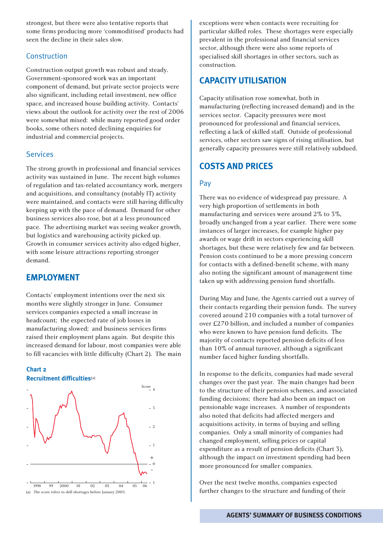strongest, but there were also tentative reports that some firms producing more 'commoditised' products had seen the decline in their sales slow.

## Construction

Construction output growth was robust and steady. Government-sponsored work was an important component of demand, but private sector projects were also significant, including retail investment, new office space, and increased house building activity. Contacts' views about the outlook for activity over the rest of 2006 were somewhat mixed: while many reported good order books, some others noted declining enquiries for industrial and commercial projects.

#### Services

The strong growth in professional and financial services activity was sustained in June. The recent high volumes of regulation and tax-related accountancy work, mergers and acquisitions, and consultancy (notably IT) activity were maintained, and contacts were still having difficulty keeping up with the pace of demand. Demand for other business services also rose, but at a less pronounced pace. The advertising market was seeing weaker growth, but logistics and warehousing activity picked up. Growth in consumer services activity also edged higher, with some leisure attractions reporting stronger demand.

# **EMPLOYMENT**

Contacts' employment intentions over the next six months were slightly stronger in June. Consumer services companies expected a small increase in headcount; the expected rate of job losses in manufacturing slowed; and business services firms raised their employment plans again. But despite this increased demand for labour, most companies were able to fill vacancies with little difficulty (Chart 2). The main





exceptions were when contacts were recruiting for particular skilled roles. These shortages were especially prevalent in the professional and financial services sector, although there were also some reports of specialised skill shortages in other sectors, such as construction.

# **CAPACITY UTILISATION**

Capacity utilisation rose somewhat, both in manufacturing (reflecting increased demand) and in the services sector. Capacity pressures were most pronounced for professional and financial services, reflecting a lack of skilled staff. Outside of professional services, other sectors saw signs of rising utilisation, but generally capacity pressures were still relatively subdued.

# **COSTS AND PRICES**

#### Pay

There was no evidence of widespread pay pressure. A very high proportion of settlements in both manufacturing and services were around 2% to 3%, broadly unchanged from a year earlier. There were some instances of larger increases, for example higher pay awards or wage drift in sectors experiencing skill shortages, but these were relatively few and far between. Pension costs continued to be a more pressing concern for contacts with a defined-benefit scheme, with many also noting the significant amount of management time taken up with addressing pension fund shortfalls.

During May and June, the Agents carried out a survey of their contacts regarding their pension funds. The survey covered around 210 companies with a total turnover of over £270 billion, and included a number of companies who were known to have pension fund deficits. The majority of contacts reported pension deficits of less than 10% of annual turnover, although a significant number faced higher funding shortfalls.

In response to the deficits, companies had made several changes over the past year. The main changes had been to the structure of their pension schemes, and associated funding decisions; there had also been an impact on pensionable wage increases. A number of respondents also noted that deficits had affected mergers and acquisitions activity, in terms of buying and selling companies. Only a small minority of companies had changed employment, selling prices or capital expenditure as a result of pension deficits (Chart 3), although the impact on investment spending had been more pronounced for smaller companies.

Over the next twelve months, companies expected further changes to the structure and funding of their